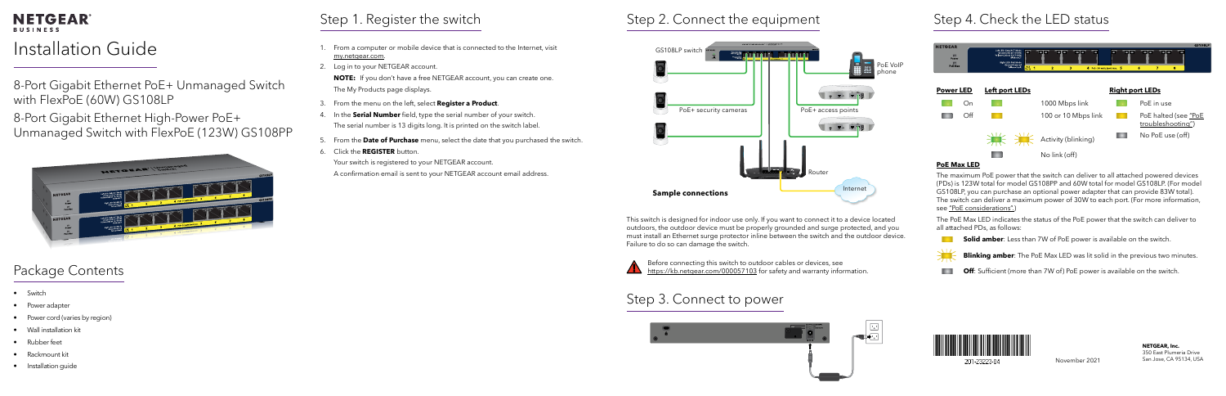#### **NETGEAR® BUSINESS**

# Installation Guide

November 2021

**NETGEAR, Inc.** 350 East Plumeria Drive San Jose, CA 95134, USA

8-Port Gigabit Ethernet PoE+ Unmanaged Switch with FlexPoE (60W) GS108LP

8-Port Gigabit Ethernet High-Power PoE+ Unmanaged Switch with FlexPoE (123W) GS108PP



## Package Contents

- Switch
- Power adapter
- Power cord (varies by region)
- Wall installation kit
- Rubber feet
- Rackmount kit
- Installation guide

### Step 2. Connect the equipment

### Step 3. Connect to power





### Step 4. Check the LED status

- **Blinking amber**: The PoE Max LED was lit solid in the previous two minutes.
- **Off**: Sufficient (more than 7W of) PoE power is available on the switch.



201-23223-04



#### **PoE Max LED**

Before connecting this switch to outdoor cables or devices, see <https://kb.netgear.com/000057103> for safety and warranty information. The maximum PoE power that the switch can deliver to all attached powered devices (PDs) is 123W total for model GS108PP and 60W total for model GS108LP. (For model GS108LP, you can purchase an optional power adapter that can provide 83W total). The switch can deliver a maximum power of 30W to each port. (For more information, see ["PoE considerations".](#page-1-1))

**NOTE:** If you don't have a free NETGEAR account, you can create one. The My Products page displays.

> The PoE Max LED indicates the status of the PoE power that the switch can deliver to all attached PDs, as follows:

**Solid amber**: Less than 7W of PoE power is available on the switch.



This switch is designed for indoor use only. If you want to connect it to a device located outdoors, the outdoor device must be properly grounded and surge protected, and you must install an Ethernet surge protector inline between the switch and the outdoor device. Failure to do so can damage the switch.







# Step 1. Register the switch

- 1. From a computer or mobile device that is connected to the Internet, visit [my.netgear.com](https://my.netgear.com).
- 2. Log in to your NETGEAR account.

- 3. From the menu on the left, select **Register a Product**.
- 4. In the **Serial Number** field, type the serial number of your switch. The serial number is 13 digits long. It is printed on the switch label.
- 5. From the **Date of Purchase** menu, select the date that you purchased the switch.
- 6. Click the **REGISTER** button.

Your switch is registered to your NETGEAR account.

A confirmation email is sent to your NETGEAR account email address.